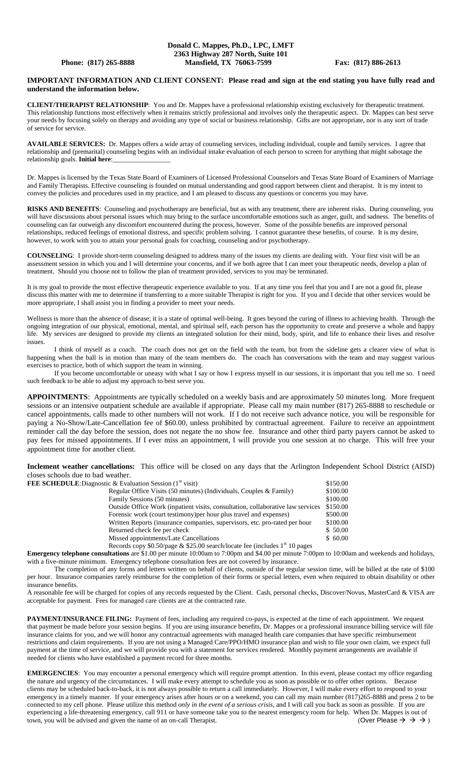## **Donald C. Mappes, Ph.D., LPC, LMFT 2363 Highway 287 North, Suite 101 Phone: (817) 265-8888 Mansfield, TX 76063-7599 Fax: (817) 886-2613**

## **IMPORTANT INFORMATION AND CLIENT CONSENT: Please read and sign at the end stating you have fully read and understand the information below.**

**CLIENT/THERAPIST RELATIONSHIP**: You and Dr. Mappes have a professional relationship existing exclusively for therapeutic treatment. This relationship functions most effectively when it remains strictly professional and involves only the therapeutic aspect. Dr. Mappes can best serve your needs by focusing solely on therapy and avoiding any type of social or business relationship. Gifts are not appropriate, nor is any sort of trade of service for service.

**AVAILABLE SERVICES:** Dr. Mappes offers a wide array of counseling services, including individual, couple and family services. I agree that relationship and (premarital) counseling begins with an individual intake evaluation of each person to screen for anything that might sabotage the relationship goals. **Initial here**:\_\_\_\_\_\_\_\_\_\_\_\_\_\_\_\_\_

Dr. Mappes is licensed by the Texas State Board of Examiners of Licensed Professional Counselors and Texas State Board of Examiners of Marriage and Family Therapists. Effective counseling is founded on mutual understanding and good rapport between client and therapist. It is my intent to convey the policies and procedures used in my practice, and I am pleased to discuss any questions or concerns you may have.

**RISKS AND BENEFITS**: Counseling and psychotherapy are beneficial, but as with any treatment, there are inherent risks. During counseling, you will have discussions about personal issues which may bring to the surface uncomfortable emotions such as anger, guilt, and sadness. The benefits of counseling can far outweigh any discomfort encountered during the process, however. Some of the possible benefits are improved personal relationships, reduced feelings of emotional distress, and specific problem solving. I cannot guarantee these benefits, of course. It is my desire, however, to work with you to attain your personal goals for coaching, counseling and/or psychotherapy.

**COUNSELING**: I provide short-term counseling designed to address many of the issues my clients are dealing with. Your first visit will be an assessment session in which you and I will determine your concerns, and if we both agree that I can meet your therapeutic needs, develop a plan of treatment. Should you choose not to follow the plan of treatment provided, services to you may be terminated.

It is my goal to provide the most effective therapeutic experience available to you. If at any time you feel that you and I are not a good fit, please discuss this matter with me to determine if transferring to a more suitable Therapist is right for you. If you and I decide that other services would be more appropriate, I shall assist you in finding a provider to meet your needs.

Wellness is more than the absence of disease; it is a state of optimal well-being. It goes beyond the curing of illness to achieving health. Through the ongoing integration of our physical, emotional, mental, and spiritual self, each person has the opportunity to create and preserve a whole and happy life. My services are designed to provide my clients an integrated solution for their mind, body, spirit, and life to enhance their lives and resolve issues.

I think of myself as a coach. The coach does not get on the field with the team, but from the sideline gets a clearer view of what is happening when the ball is in motion than many of the team members do. The coach has conversations with the team and may suggest various exercises to practice, both of which support the team in winning.

If you become uncomfortable or uneasy with what I say or how I express myself in our sessions, it is important that you tell me so. I need such feedback to be able to adjust my approach to best serve you.

**APPOINTMENTS**: Appointments are typically scheduled on a weekly basis and are approximately 50 minutes long. More frequent sessions or an intensive outpatient schedule are available if appropriate. Please call my main number (817) 265-8888 to reschedule or cancel appointments, calls made to other numbers will not work. If I do not receive such advance notice, you will be responsible for paying a No-Show/Late-Cancellation fee of \$60.00, unless prohibited by contractual agreement. Failure to receive an appointment reminder call the day before the session, does not negate the no show fee. Insurance and other third party payers cannot be asked to pay fees for missed appointments. If I ever miss an appointment, I will provide you one session at no charge. This will free your appointment time for another client.

**Inclement weather cancellations:** This office will be closed on any days that the Arlington Independent School District (AISD) closes schools due to bad weather. **FEE SCHEDULE**: Dia

| gnostic & Evaluation Session $(1st$ visit)                                      | \$150.00 |
|---------------------------------------------------------------------------------|----------|
| Regular Office Visits (50 minutes) (Individuals, Couples & Family)              | \$100.00 |
| Family Sessions (50 minutes)                                                    | \$100.00 |
| Outside Office Work (inpatient visits, consultation, collaborative law services | \$150.00 |
| Forensic work (court testimony) per hour plus travel and expenses)              | \$500.00 |
| Written Reports (insurance companies, supervisors, etc. pro-rated per hour      | \$100.00 |
| Returned check fee per check                                                    | \$50.00  |
| Missed appointments/Late Cancellations                                          | \$60.00  |
|                                                                                 |          |

Records copy  $$0.50$ /page &  $$25.00$  search/locate fee (includes 1<sup>st</sup> 10 pages

**Emergency telephone consultations** are \$1.00 per minute 10:00am to 7:00pm and \$4.00 per minute 7:00pm to 10:00am and weekends and holidays, with a five-minute minimum. Emergency telephone consultation fees are not covered by insurance.

The completion of any forms and letters written on behalf of clients, outside of the regular session time, will be billed at the rate of \$100 per hour. Insurance companies rarely reimburse for the completion of their forms or special letters, even when required to obtain disability or other insurance benefits.

A reasonable fee will be charged for copies of any records requested by the Client. Cash, personal checks, Discover/Novus, MasterCard & VISA are acceptable for payment. Fees for managed care clients are at the contracted rate.

PAYMENT/INSURANCE FILING: Payment of fees, including any required co-pays, is expected at the time of each appointment. We request that payment be made before your session begins. If you are using insurance benefits, Dr. Mappes or a professional insurance billing service will file insurance claims for you, and we will honor any contractual agreements with managed health care companies that have specific reimbursement restrictions and claim requirements. If you are not using a Managed Care/PPO/HMO insurance plan and wish to file your own claim, we expect full payment at the time of service, and we will provide you with a statement for services rendered. Monthly payment arrangements are available if needed for clients who have established a payment record for three months.

**EMERGENCIES**: You may encounter a personal emergency which will require prompt attention. In this event, please contact my office regarding the nature and urgency of the circumstances. I will make every attempt to schedule you as soon as possible or to offer other options. Because clients may be scheduled back-to-back, it is not always possible to return a call immediately. However, I will make every effort to respond to your emergency in a timely manner. If your emergency arises after hours or on a weekend, you can call my main number (817)265-8888 and press 2 to be connected to my cell phone. Please utilize this method *only in the event of a serious crisis*, and I will call you back as soon as possible. If you are experiencing a life-threatening emergency, call 911 or have someone take you to the nearest emergency room for help. When Dr. Mappes is out of town, you will be advised and given the name of an on-call Therapist. (Over Please  $\rightarrow \rightarrow \rightarrow$ )